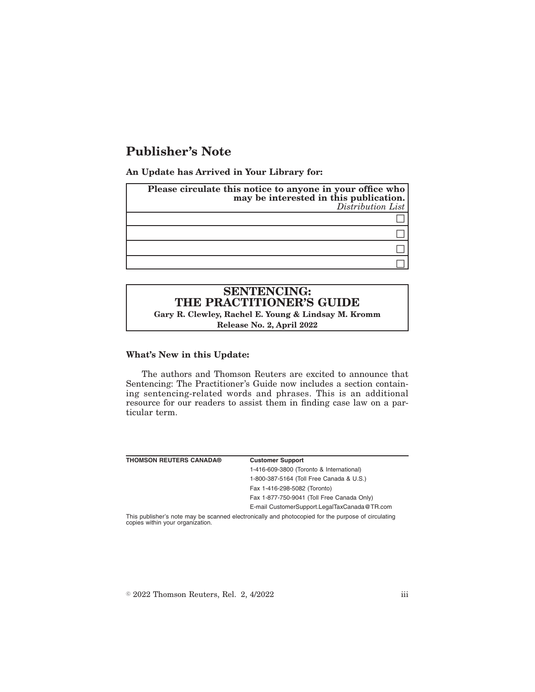## **Publisher's Note**

**An Update has Arrived in Your Library for:**

| Please circulate this notice to anyone in your office who<br>may be interested in this publication.<br>Distribution List |
|--------------------------------------------------------------------------------------------------------------------------|
|                                                                                                                          |
|                                                                                                                          |
|                                                                                                                          |
|                                                                                                                          |

## **SENTENCING: THE PRACTITIONER'S GUIDE Gary R. Clewley, Rachel E. Young & Lindsay M. Kromm**

**Release No. 2, April 2022**

## **What's New in this Update:**

The authors and Thomson Reuters are excited to announce that Sentencing: The Practitioner's Guide now includes a section containing sentencing-related words and phrases. This is an additional resource for our readers to assist them in finding case law on a particular term.

| <b>THOMSON REUTERS CANADA®</b>                                                                                                         | <b>Customer Support</b>                      |  |
|----------------------------------------------------------------------------------------------------------------------------------------|----------------------------------------------|--|
|                                                                                                                                        | 1-416-609-3800 (Toronto & International)     |  |
|                                                                                                                                        | 1-800-387-5164 (Toll Free Canada & U.S.)     |  |
|                                                                                                                                        | Fax 1-416-298-5082 (Toronto)                 |  |
|                                                                                                                                        | Fax 1-877-750-9041 (Toll Free Canada Only)   |  |
|                                                                                                                                        | E-mail CustomerSupport.LegalTaxCanada@TR.com |  |
| This publisher's note may be scanned electronically and photocopied for the purpose of circulating<br>copies within your organization. |                                              |  |

 $\textdegree$  2022 Thomson Reuters, Rel. 2, 4/2022 iii